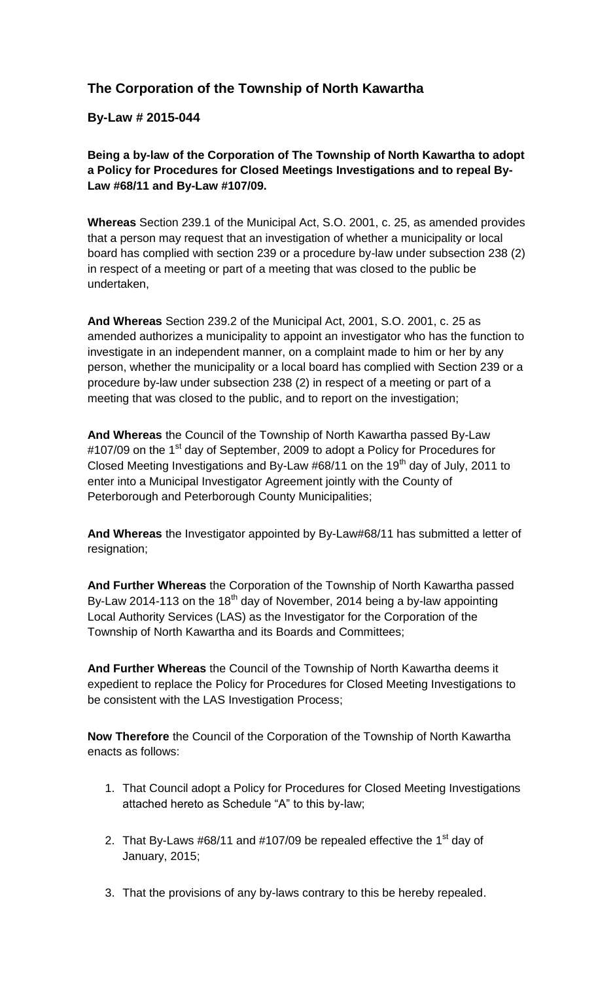## **The Corporation of the Township of North Kawartha**

**By-Law # 2015-044**

**Being a by-law of the Corporation of The Township of North Kawartha to adopt a Policy for Procedures for Closed Meetings Investigations and to repeal By-Law #68/11 and By-Law #107/09.**

**Whereas** Section 239.1 of the Municipal Act, S.O. 2001, c. 25, as amended provides that a person may request that an investigation of whether a municipality or local board has complied with section 239 or a procedure by-law under subsection 238 (2) in respect of a meeting or part of a meeting that was closed to the public be undertaken,

**And Whereas** Section 239.2 of the Municipal Act, 2001, S.O. 2001, c. 25 as amended authorizes a municipality to appoint an investigator who has the function to investigate in an independent manner, on a complaint made to him or her by any person, whether the municipality or a local board has complied with Section 239 or a procedure by-law under subsection 238 (2) in respect of a meeting or part of a meeting that was closed to the public, and to report on the investigation;

**And Whereas** the Council of the Township of North Kawartha passed By-Law #107/09 on the 1<sup>st</sup> day of September, 2009 to adopt a Policy for Procedures for Closed Meeting Investigations and By-Law #68/11 on the 19<sup>th</sup> day of July, 2011 to enter into a Municipal Investigator Agreement jointly with the County of Peterborough and Peterborough County Municipalities;

**And Whereas** the Investigator appointed by By-Law#68/11 has submitted a letter of resignation;

**And Further Whereas** the Corporation of the Township of North Kawartha passed By-Law 2014-113 on the 18<sup>th</sup> day of November, 2014 being a by-law appointing Local Authority Services (LAS) as the Investigator for the Corporation of the Township of North Kawartha and its Boards and Committees;

**And Further Whereas** the Council of the Township of North Kawartha deems it expedient to replace the Policy for Procedures for Closed Meeting Investigations to be consistent with the LAS Investigation Process;

**Now Therefore** the Council of the Corporation of the Township of North Kawartha enacts as follows:

- 1. That Council adopt a Policy for Procedures for Closed Meeting Investigations attached hereto as Schedule "A" to this by-law;
- 2. That By-Laws  $\#68/11$  and  $\#107/09$  be repealed effective the 1<sup>st</sup> day of January, 2015;
- 3. That the provisions of any by-laws contrary to this be hereby repealed.